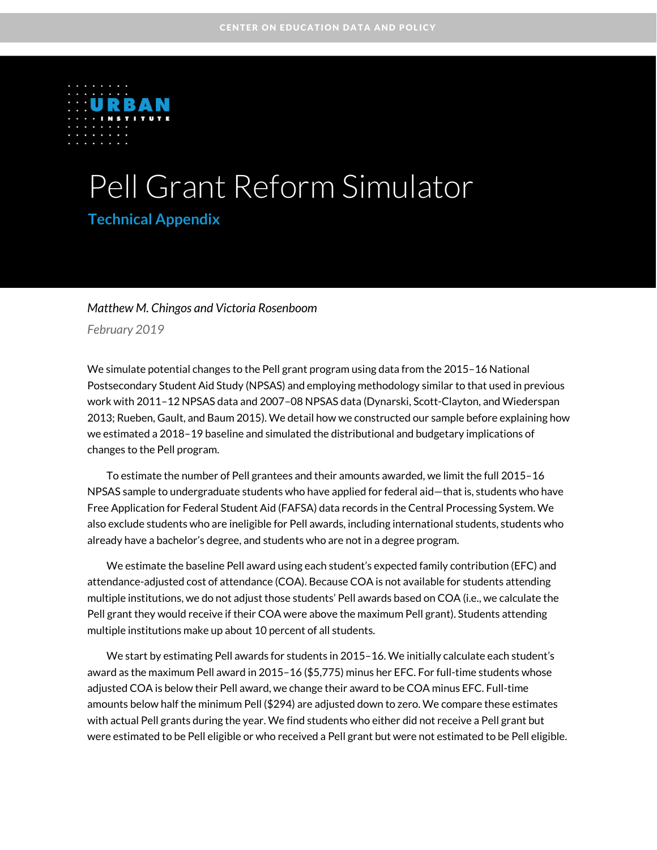

# Pell Grant Reform Simulator

### **Technical Appendix**

#### *Matthew M. Chingos and Victoria Rosenboom*

*February 2019*

We simulate potential changes to the Pell grant program using data from the 2015–16 National Postsecondary Student Aid Study (NPSAS) and employing methodology similar to that used in previous work with 2011–12 NPSAS data and 2007–08 NPSAS data (Dynarski, Scott-Clayton, and Wiederspan 2013; Rueben, Gault, and Baum 2015). We detail how we constructed our sample before explaining how we estimated a 2018–19 baseline and simulated the distributional and budgetary implications of changes to the Pell program.

To estimate the number of Pell grantees and their amounts awarded, we limit the full 2015–16 NPSAS sample to undergraduate students who have applied for federal aid—that is, students who have Free Application for Federal Student Aid (FAFSA) data records in the Central Processing System. We also exclude students who are ineligible for Pell awards, including international students, students who already have a bachelor's degree, and students who are not in a degree program.

We estimate the baseline Pell award using each student's expected family contribution (EFC) and attendance-adjusted cost of attendance (COA). Because COA is not available for students attending multiple institutions, we do not adjust those students' Pell awards based on COA (i.e., we calculate the Pell grant they would receive if their COA were above the maximum Pell grant). Students attending multiple institutions make up about 10 percent of all students.

We start by estimating Pell awards for students in 2015–16. We initially calculate each student's award as the maximum Pell award in 2015–16 (\$5,775) minus her EFC. For full-time students whose adjusted COA is below their Pell award, we change their award to be COA minus EFC. Full-time amounts below half the minimum Pell (\$294) are adjusted down to zero. We compare these estimates with actual Pell grants during the year. We find students who either did not receive a Pell grant but were estimated to be Pell eligible or who received a Pell grant but were not estimated to be Pell eligible.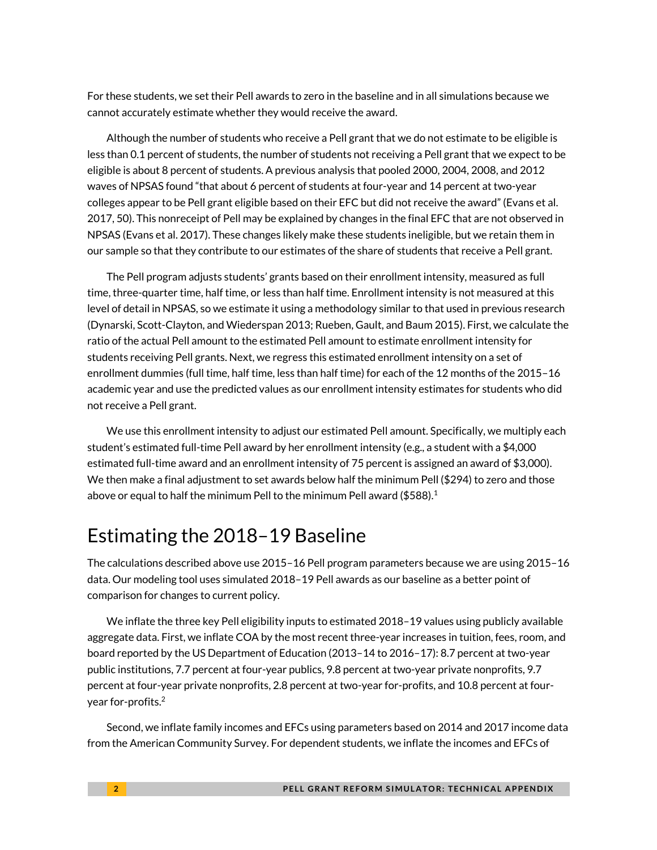For these students, we set their Pell awards to zero in the baseline and in all simulations because we cannot accurately estimate whether they would receive the award.

Although the number of students who receive a Pell grant that we do not estimate to be eligible is less than 0.1 percent of students, the number of students not receiving a Pell grant that we expect to be eligible is about 8 percent of students. A previous analysis that pooled 2000, 2004, 2008, and 2012 waves of NPSAS found "that about 6 percent of students at four-year and 14 percent at two-year colleges appear to be Pell grant eligible based on their EFC but did not receive the award" (Evans et al. 2017, 50). This nonreceipt of Pell may be explained by changes in the final EFC that are not observed in NPSAS (Evans et al. 2017). These changes likely make these students ineligible, but we retain them in our sample so that they contribute to our estimates of the share of students that receive a Pell grant.

The Pell program adjusts students' grants based on their enrollment intensity, measured as full time, three-quarter time, half time, or less than half time. Enrollment intensity is not measured at this level of detail in NPSAS, so we estimate it using a methodology similar to that used in previous research (Dynarski, Scott-Clayton, and Wiederspan 2013; Rueben, Gault, and Baum 2015). First, we calculate the ratio of the actual Pell amount to the estimated Pell amount to estimate enrollment intensity for students receiving Pell grants. Next, we regress this estimated enrollment intensity on a set of enrollment dummies (full time, half time, less than half time) for each of the 12 months of the 2015–16 academic year and use the predicted values as our enrollment intensity estimates for students who did not receive a Pell grant.

We use this enrollment intensity to adjust our estimated Pell amount. Specifically, we multiply each student's estimated full-time Pell award by her enrollment intensity (e.g., a student with a \$4,000 estimated full-time award and an enrollment intensity of 75 percent is assigned an award of \$3,000). We then make a final adjustment to set awards below half the minimum Pell (\$294) to zero and those above or equal to half the minimum Pell to the minimum Pell award (\$588).<sup>1</sup>

### Estimating the 2018–19 Baseline

The calculations described above use 2015–16 Pell program parameters because we are using 2015–16 data. Our modeling tool uses simulated 2018–19 Pell awards as our baseline as a better point of comparison for changes to current policy.

We inflate the three key Pell eligibility inputs to estimated 2018–19 values using publicly available aggregate data. First, we inflate COA by the most recent three-year increases in tuition, fees, room, and board reported by the US Department of Education (2013–14 to 2016–17): 8.7 percent at two-year public institutions, 7.7 percent at four-year publics, 9.8 percent at two-year private nonprofits, 9.7 percent at four-year private nonprofits, 2.8 percent at two-year for-profits, and 10.8 percent at fouryear for-profits.<sup>2</sup>

Second, we inflate family incomes and EFCs using parameters based on 2014 and 2017 income data from the American Community Survey. For dependent students, we inflate the incomes and EFCs of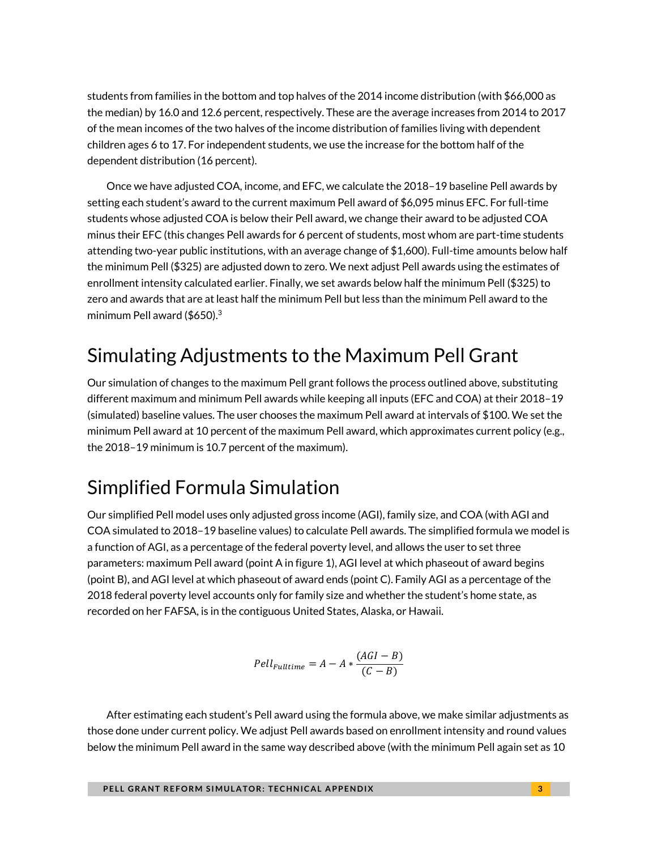students from families in the bottom and top halves of the 2014 income distribution (with \$66,000 as the median) by 16.0 and 12.6 percent, respectively. These are the average increases from 2014 to 2017 of the mean incomes of the two halves of the income distribution of families living with dependent children ages 6 to 17. For independent students, we use the increase for the bottom half of the dependent distribution (16 percent).

Once we have adjusted COA, income, and EFC, we calculate the 2018–19 baseline Pell awards by setting each student's award to the current maximum Pell award of \$6,095 minus EFC. For full-time students whose adjusted COA is below their Pell award, we change their award to be adjusted COA minus their EFC (this changes Pell awards for 6 percent of students, most whom are part-time students attending two-year public institutions, with an average change of \$1,600). Full-time amounts below half the minimum Pell (\$325) are adjusted down to zero. We next adjust Pell awards using the estimates of enrollment intensity calculated earlier. Finally, we set awards below half the minimum Pell (\$325) to zero and awards that are at least half the minimum Pell but less than the minimum Pell award to the minimum Pell award (\$650). $3$ 

# Simulating Adjustments to the Maximum Pell Grant

Our simulation of changes to the maximum Pell grant follows the process outlined above, substituting different maximum and minimum Pell awards while keeping all inputs (EFC and COA) at their 2018–19 (simulated) baseline values. The user chooses the maximum Pell award at intervals of \$100. We set the minimum Pell award at 10 percent of the maximum Pell award, which approximates current policy (e.g., the 2018–19 minimum is 10.7 percent of the maximum).

# Simplified Formula Simulation

Our simplified Pell model uses only adjusted gross income (AGI), family size, and COA (with AGI and COA simulated to 2018–19 baseline values) to calculate Pell awards. The simplified formula we model is a function of AGI, as a percentage of the federal poverty level, and allows the user to set three parameters: maximum Pell award (point A in figure 1), AGI level at which phaseout of award begins (point B), and AGI level at which phaseout of award ends (point C). Family AGI as a percentage of the 2018 federal poverty level accounts only for family size and whether the student's home state, as recorded on her FAFSA, is in the contiguous United States, Alaska, or Hawaii.

$$
Pell_{Fulltime} = A - A * \frac{(AGI - B)}{(C - B)}
$$

After estimating each student's Pell award using the formula above, we make similar adjustments as those done under current policy. We adjust Pell awards based on enrollment intensity and round values below the minimum Pell award in the same way described above (with the minimum Pell again set as 10

**PELL GRANT REFORM SIMULATOR: TECHNICAL APPENDIX A M I A I A I A I 3**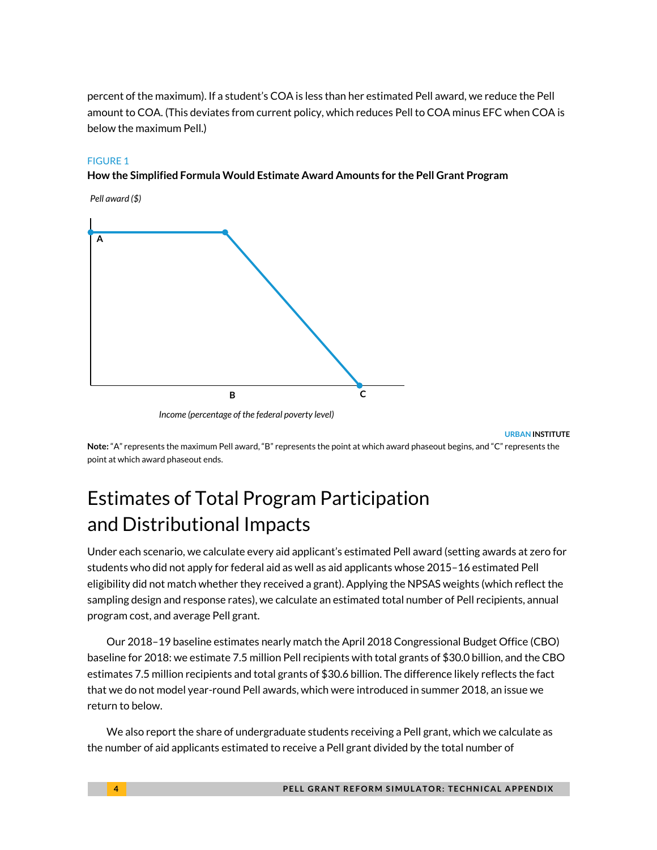percent of the maximum). If a student's COA is less than her estimated Pell award, we reduce the Pell amount to COA. (This deviates from current policy, which reduces Pell to COA minus EFC when COA is below the maximum Pell.)

#### FIGURE 1

#### **How the Simplified Formula Would Estimate Award Amounts for the Pell Grant Program**



*Income (percentage of the federal poverty level)*

**URBAN INSTITUTE**

**Note:** "A" represents the maximum Pell award, "B" represents the point at which award phaseout begins, and "C" represents the point at which award phaseout ends.

# Estimates of Total Program Participation and Distributional Impacts

Under each scenario, we calculate every aid applicant's estimated Pell award (setting awards at zero for students who did not apply for federal aid as well as aid applicants whose 2015–16 estimated Pell eligibility did not match whether they received a grant). Applying the NPSAS weights (which reflect the sampling design and response rates), we calculate an estimated total number of Pell recipients, annual program cost, and average Pell grant.

Our 2018–19 baseline estimates nearly match the April 2018 Congressional Budget Office (CBO) baseline for 2018: we estimate 7.5 million Pell recipients with total grants of \$30.0 billion, and the CBO estimates 7.5 million recipients and total grants of \$30.6 billion. The difference likely reflects the fact that we do not model year-round Pell awards, which were introduced in summer 2018, an issue we return to below.

We also report the share of undergraduate students receiving a Pell grant, which we calculate as the number of aid applicants estimated to receive a Pell grant divided by the total number of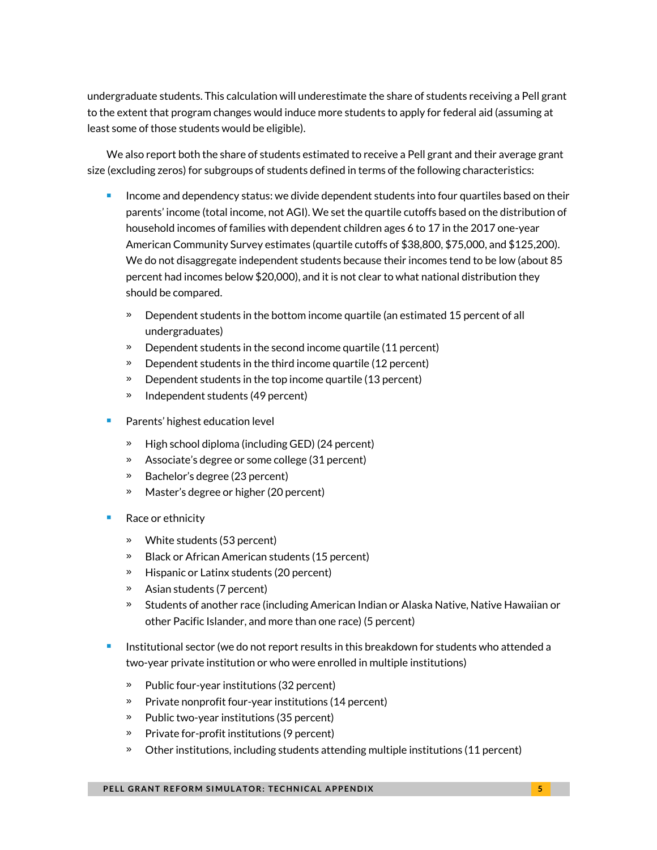undergraduate students. This calculation will underestimate the share of students receiving a Pell grant to the extent that program changes would induce more students to apply for federal aid (assuming at least some of those students would be eligible).

We also report both the share of students estimated to receive a Pell grant and their average grant size (excluding zeros) for subgroups of students defined in terms of the following characteristics:

- Income and dependency status: we divide dependent students into four quartiles based on their parents' income (total income, not AGI). We set the quartile cutoffs based on the distribution of household incomes of families with dependent children ages 6 to 17 in the 2017 one-year American Community Survey estimates (quartile cutoffs of \$38,800, \$75,000, and \$125,200). We do not disaggregate independent students because their incomes tend to be low (about 85 percent had incomes below \$20,000), and it is not clear to what national distribution they should be compared.
	- » Dependent students in the bottom income quartile (an estimated 15 percent of all undergraduates)
	- » Dependent students in the second income quartile (11 percent)
	- » Dependent students in the third income quartile (12 percent)
	- » Dependent students in the top income quartile (13 percent)
	- » Independent students (49 percent)
- Parents' highest education level
	- » High school diploma (including GED) (24 percent)
	- » Associate's degree or some college (31 percent)
	- » Bachelor's degree (23 percent)
	- » Master's degree or higher (20 percent)
- Race or ethnicity
	- » White students (53 percent)
	- » Black or African American students (15 percent)
	- » Hispanic or Latinx students (20 percent)
	- » Asian students (7 percent)
	- » Students of another race (including American Indian or Alaska Native, Native Hawaiian or other Pacific Islander, and more than one race) (5 percent)
- **Institutional sector (we do not report results in this breakdown for students who attended a** two-year private institution or who were enrolled in multiple institutions)
	- » Public four-year institutions (32 percent)
	- » Private nonprofit four-year institutions (14 percent)
	- » Public two-year institutions (35 percent)
	- » Private for-profit institutions (9 percent)
	- » Other institutions, including students attending multiple institutions (11 percent)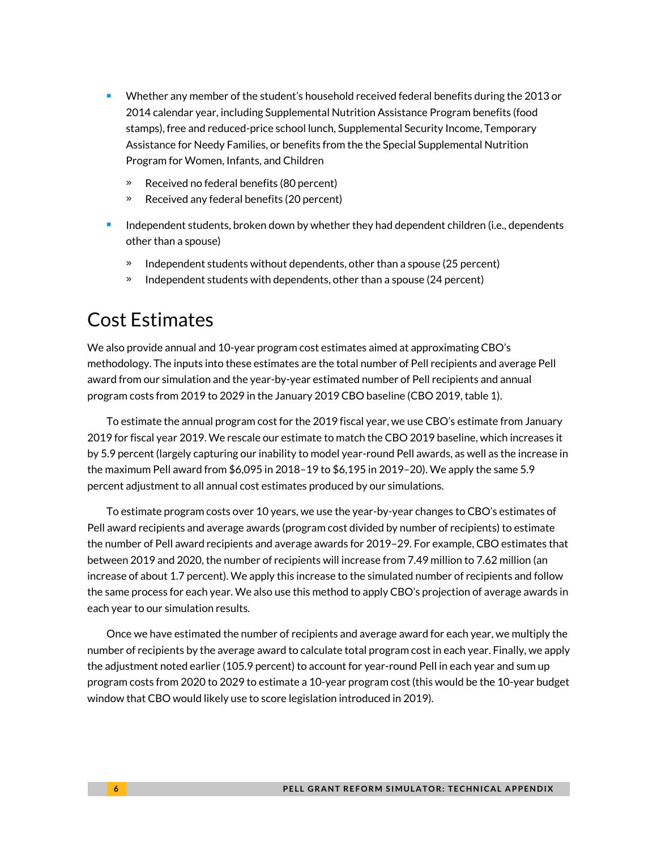- Whether any member of the student's household received federal benefits during the 2013 or 2014 calendar year, including Supplemental Nutrition Assistance Program benefits (food stamps), free and reduced-price school lunch, Supplemental Security Income, Temporary Assistance for Needy Families, or benefits from the the Special Supplemental Nutrition Program for Women, Infants, and Children
	- » Received no federal benefits (80 percent)
	- » Received any federal benefits (20 percent)
- Independent students, broken down by whether they had dependent children (i.e., dependents other than a spouse)
	- Independent students without dependents, other than a spouse (25 percent)
	- » Independent students with dependents, other than a spouse (24 percent)

### Cost Estimates

We also provide annual and 10-year program cost estimates aimed at approximating CBO's methodology. The inputs into these estimates are the total number of Pell recipients and average Pell award from our simulation and the year-by-year estimated number of Pell recipients and annual program costs from 2019 to 2029 in the January 2019 CBO baseline (CBO 2019, table 1).

To estimate the annual program cost for the 2019 fiscal year, we use CBO's estimate from January 2019 for fiscal year 2019. We rescale our estimate to match the CBO 2019 baseline, which increases it by 5.9 percent (largely capturing our inability to model year-round Pell awards, as well as the increase in the maximum Pell award from \$6,095 in 2018–19 to \$6,195 in 2019–20). We apply the same 5.9 percent adjustment to all annual cost estimates produced by our simulations.

To estimate program costs over 10 years, we use the year-by-year changes to CBO's estimates of Pell award recipients and average awards (program cost divided by number of recipients) to estimate the number of Pell award recipients and average awards for 2019–29. For example, CBO estimates that between 2019 and 2020, the number of recipients will increase from 7.49 million to 7.62 million (an increase of about 1.7 percent). We apply this increase to the simulated number of recipients and follow the same process for each year. We also use this method to apply CBO's projection of average awards in each year to our simulation results.

Once we have estimated the number of recipients and average award for each year, we multiply the number of recipients by the average award to calculate total program cost in each year. Finally, we apply the adjustment noted earlier (105.9 percent) to account for year-round Pell in each year and sum up program costs from 2020 to 2029 to estimate a 10-year program cost (this would be the 10-year budget window that CBO would likely use to score legislation introduced in 2019).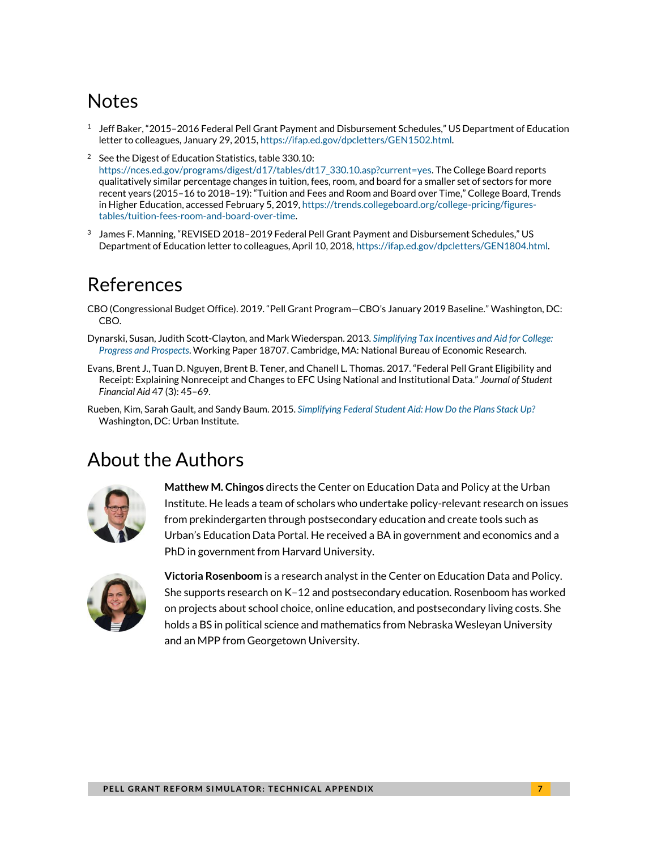# **Notes**

- $^1$  Jeff Baker, "2015–2016 Federal Pell Grant Payment and Disbursement Schedules," US Department of Education letter to colleagues, January 29, 2015[, https://ifap.ed.gov/dpcletters/GEN1502.html.](https://ifap.ed.gov/dpcletters/GEN1502.html)
- <sup>2</sup> See the Digest of Education Statistics, table 330.10: [https://nces.ed.gov/programs/digest/d17/tables/dt17\\_330.10.asp?current=yes.](https://nces.ed.gov/programs/digest/d17/tables/dt17_330.10.asp?current=yes) The College Board reports qualitatively similar percentage changes in tuition, fees, room, and board for a smaller set of sectors for more recent years (2015–16 to 2018–19): "Tuition and Fees and Room and Board over Time," College Board, Trends in Higher Education, accessed February 5, 2019, [https://trends.collegeboard.org/college-pricing/figures](https://trends.collegeboard.org/college-pricing/figures-tables/tuition-fees-room-and-board-over-time)[tables/tuition-fees-room-and-board-over-time.](https://trends.collegeboard.org/college-pricing/figures-tables/tuition-fees-room-and-board-over-time)
- 3 James F. Manning, "REVISED 2018–2019 Federal Pell Grant Payment and Disbursement Schedules," US Department of Education letter to colleagues, April 10, 2018[, https://ifap.ed.gov/dpcletters/GEN1804.html.](https://ifap.ed.gov/dpcletters/GEN1804.html)

### References

- CBO (Congressional Budget Office). 2019. "Pell Grant Program—CBO's January 2019 Baseline." Washington, DC: CBO.
- Dynarski, Susan, Judith Scott-Clayton, and Mark Wiederspan. 2013. *[Simplifying Tax Incentives and Aid for College:](http://www.ny.edu/about/administration/offices/ira/opr/seminars/paper-archives/SimplifyingTaxIncentives.pdf)  [Progress and Prospects](http://www.ny.edu/about/administration/offices/ira/opr/seminars/paper-archives/SimplifyingTaxIncentives.pdf)*. Working Paper 18707. Cambridge, MA: National Bureau of Economic Research.
- Evans, Brent J., Tuan D. Nguyen, Brent B. Tener, and Chanell L. Thomas. 2017. "Federal Pell Grant Eligibility and Receipt: Explaining Nonreceipt and Changes to EFC Using National and Institutional Data." *Journal of Student Financial Aid* 47 (3): 45–69.
- Rueben, Kim, Sarah Gault, and Sandy Baum. 2015. *[Simplifying Federal Student Aid: How Do the Plans Stack Up?](http://www.urban.org/sites/default/files/alfresco/publication-pdfs/2000507-Simplifying-Federal-Student-Aid-How-Do-the-Plans-Stack-Up.pdf)* Washington, DC: Urban Institute.

# About the Authors



**Matthew M. Chingos** directs the Center on Education Data and Policy at the Urban Institute. He leads a team of scholars who undertake policy-relevant research on issues from prekindergarten through postsecondary education and create tools such as Urban's Education Data Portal. He received a BA in government and economics and a PhD in government from Harvard University.



**Victoria Rosenboom** is a research analyst in the Center on Education Data and Policy. She supports research on K–12 and postsecondary education. Rosenboom has worked on projects about school choice, online education, and postsecondary living costs. She holds a BS in political science and mathematics from Nebraska Wesleyan University and an MPP from Georgetown University.